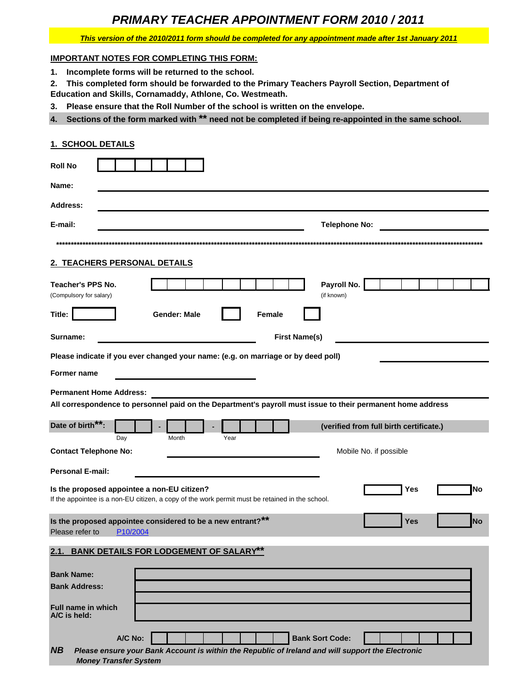# **PRIMARY TEACHER APPOINTMENT FORM 2010 / 2011**

# This version of the 2010/2011 form should be completed for any appointment made after 1st January 2011

# **IMPORTANT NOTES FOR COMPLETING THIS FORM:**

1. Incomplete forms will be returned to the school.

2. This completed form should be forwarded to the Primary Teachers Payroll Section, Department of Education and Skills, Cornamaddy, Athlone, Co. Westmeath.

3. Please ensure that the Roll Number of the school is written on the envelope.

4. Sections of the form marked with \*\* need not be completed if being re-appointed in the same school.

# 1. SCHOOL DETAILS

| <b>Roll No</b>                                                                                                                                               |
|--------------------------------------------------------------------------------------------------------------------------------------------------------------|
| Name:                                                                                                                                                        |
| <b>Address:</b>                                                                                                                                              |
| E-mail:<br><b>Telephone No:</b>                                                                                                                              |
|                                                                                                                                                              |
| 2. TEACHERS PERSONAL DETAILS                                                                                                                                 |
| Payroll No.<br>Teacher's PPS No.<br>(if known)<br>(Compulsory for salary)                                                                                    |
| <b>Gender: Male</b><br>Title:<br>Female                                                                                                                      |
| <b>First Name(s)</b><br>Surname:                                                                                                                             |
| Please indicate if you ever changed your name: (e.g. on marriage or by deed poll)                                                                            |
| Former name                                                                                                                                                  |
| <b>Permanent Home Address:</b><br>All correspondence to personnel paid on the Department's payroll must issue to their permanent home address                |
|                                                                                                                                                              |
| Date of birth**:<br>(verified from full birth certificate.)                                                                                                  |
| Day<br>Month<br>Year                                                                                                                                         |
| <b>Contact Telephone No:</b><br>Mobile No. if possible                                                                                                       |
| <b>Personal E-mail:</b>                                                                                                                                      |
| Is the proposed appointee a non-EU citizen?<br>Yes<br>lNo<br>If the appointee is a non-EU citizen, a copy of the work permit must be retained in the school. |
| Is the proposed appointee considered to be a new entrant?**<br><b>Yes</b><br><b>No</b><br>Please refer to<br>P <sub>10</sub> /2004                           |
| 2.1. BANK DETAILS FOR LODGEMENT OF SALARY**                                                                                                                  |
| <b>Bank Name:</b><br><b>Bank Address:</b><br>Full name in which<br>A/C is held:                                                                              |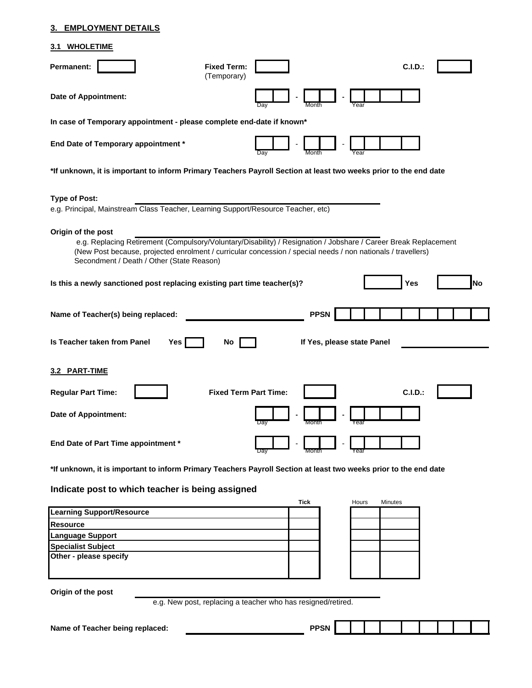# **3. EMPLOYMENT DETAILS**

# **3.1 WHOLETIME**

| Permanent:                                                                                                                                                                                                                                                                                         | <b>Fixed Term:</b><br>(Temporary)                            |      |                            |       |         | C.I.D.  |  |    |
|----------------------------------------------------------------------------------------------------------------------------------------------------------------------------------------------------------------------------------------------------------------------------------------------------|--------------------------------------------------------------|------|----------------------------|-------|---------|---------|--|----|
| <b>Date of Appointment:</b>                                                                                                                                                                                                                                                                        |                                                              | Day  | Month                      | Year  |         |         |  |    |
| In case of Temporary appointment - please complete end-date if known*                                                                                                                                                                                                                              |                                                              |      |                            |       |         |         |  |    |
| End Date of Temporary appointment *                                                                                                                                                                                                                                                                |                                                              |      |                            |       |         |         |  |    |
| *If unknown, it is important to inform Primary Teachers Payroll Section at least two weeks prior to the end date                                                                                                                                                                                   |                                                              |      |                            |       |         |         |  |    |
| <b>Type of Post:</b><br>e.g. Principal, Mainstream Class Teacher, Learning Support/Resource Teacher, etc)                                                                                                                                                                                          |                                                              |      |                            |       |         |         |  |    |
| Origin of the post<br>e.g. Replacing Retirement (Compulsory/Voluntary/Disability) / Resignation / Jobshare / Career Break Replacement<br>(New Post because, projected enrolment / curricular concession / special needs / non nationals / travellers)<br>Secondment / Death / Other (State Reason) |                                                              |      |                            |       |         |         |  |    |
| Is this a newly sanctioned post replacing existing part time teacher(s)?                                                                                                                                                                                                                           |                                                              |      |                            |       |         | Yes     |  | No |
| Name of Teacher(s) being replaced:                                                                                                                                                                                                                                                                 |                                                              |      | <b>PPSN</b>                |       |         |         |  |    |
| Is Teacher taken from Panel<br>Yes                                                                                                                                                                                                                                                                 | No                                                           |      | If Yes, please state Panel |       |         |         |  |    |
| 3.2 PART-TIME                                                                                                                                                                                                                                                                                      |                                                              |      |                            |       |         |         |  |    |
| <b>Regular Part Time:</b>                                                                                                                                                                                                                                                                          | <b>Fixed Term Part Time:</b>                                 |      |                            |       |         | C.I.D.: |  |    |
| <b>Date of Appointment:</b>                                                                                                                                                                                                                                                                        |                                                              | Day  | Month                      | Year  |         |         |  |    |
| End Date of Part Time appointment *                                                                                                                                                                                                                                                                |                                                              | Day  | Month                      | Year  |         |         |  |    |
| *If unknown, it is important to inform Primary Teachers Payroll Section at least two weeks prior to the end date                                                                                                                                                                                   |                                                              |      |                            |       |         |         |  |    |
| Indicate post to which teacher is being assigned                                                                                                                                                                                                                                                   |                                                              |      |                            |       |         |         |  |    |
| <b>Learning Support/Resource</b>                                                                                                                                                                                                                                                                   |                                                              | Tick |                            | Hours | Minutes |         |  |    |
| <b>Resource</b>                                                                                                                                                                                                                                                                                    |                                                              |      |                            |       |         |         |  |    |
| <b>Language Support</b>                                                                                                                                                                                                                                                                            |                                                              |      |                            |       |         |         |  |    |
| <b>Specialist Subject</b>                                                                                                                                                                                                                                                                          |                                                              |      |                            |       |         |         |  |    |
| Other - please specify                                                                                                                                                                                                                                                                             |                                                              |      |                            |       |         |         |  |    |
| Origin of the post                                                                                                                                                                                                                                                                                 | e.g. New post, replacing a teacher who has resigned/retired. |      |                            |       |         |         |  |    |
| Name of Teacher being replaced:                                                                                                                                                                                                                                                                    |                                                              |      | <b>PPSN</b>                |       |         |         |  |    |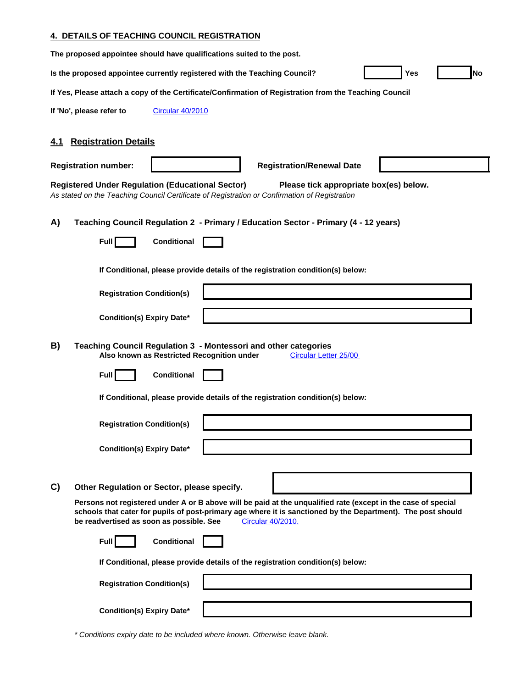# **4. DETAILS OF TEACHING COUNCIL REGISTRATION**

| The proposed appointee should have qualifications suited to the post.                                                                                                                                                                                                                          |
|------------------------------------------------------------------------------------------------------------------------------------------------------------------------------------------------------------------------------------------------------------------------------------------------|
| <b>Yes</b><br><b>No</b><br>Is the proposed appointee currently registered with the Teaching Council?                                                                                                                                                                                           |
| If Yes, Please attach a copy of the Certificate/Confirmation of Registration from the Teaching Council                                                                                                                                                                                         |
| If 'No', please refer to<br><b>Circular 40/2010</b>                                                                                                                                                                                                                                            |
| <b>Registration Details</b><br>4.1                                                                                                                                                                                                                                                             |
| <b>Registration number:</b><br><b>Registration/Renewal Date</b>                                                                                                                                                                                                                                |
| <b>Registered Under Regulation (Educational Sector)</b><br>Please tick appropriate box(es) below.<br>As stated on the Teaching Council Certificate of Registration or Confirmation of Registration                                                                                             |
| A)<br>Teaching Council Regulation 2 - Primary / Education Sector - Primary (4 - 12 years)                                                                                                                                                                                                      |
| Conditional<br><b>Full</b>                                                                                                                                                                                                                                                                     |
| If Conditional, please provide details of the registration condition(s) below:                                                                                                                                                                                                                 |
| <b>Registration Condition(s)</b>                                                                                                                                                                                                                                                               |
| <b>Condition(s) Expiry Date*</b>                                                                                                                                                                                                                                                               |
| B)<br>Teaching Council Regulation 3 - Montessori and other categories<br>Also known as Restricted Recognition under<br>Circular Letter 25/00                                                                                                                                                   |
| Full<br><b>Conditional</b>                                                                                                                                                                                                                                                                     |
| If Conditional, please provide details of the registration condition(s) below:                                                                                                                                                                                                                 |
| <b>Registration Condition(s)</b>                                                                                                                                                                                                                                                               |
| <b>Condition(s) Expiry Date*</b>                                                                                                                                                                                                                                                               |
|                                                                                                                                                                                                                                                                                                |
| Other Regulation or Sector, please specify.<br>C)                                                                                                                                                                                                                                              |
| Persons not registered under A or B above will be paid at the unqualified rate (except in the case of special<br>schools that cater for pupils of post-primary age where it is sanctioned by the Department). The post should<br>be readvertised as soon as possible. See<br>Circular 40/2010. |
| <b>Conditional</b><br>Full                                                                                                                                                                                                                                                                     |
| If Conditional, please provide details of the registration condition(s) below:                                                                                                                                                                                                                 |
| <b>Registration Condition(s)</b>                                                                                                                                                                                                                                                               |
| <b>Condition(s) Expiry Date*</b>                                                                                                                                                                                                                                                               |

*\* Conditions expiry date to be included where known. Otherwise leave blank.*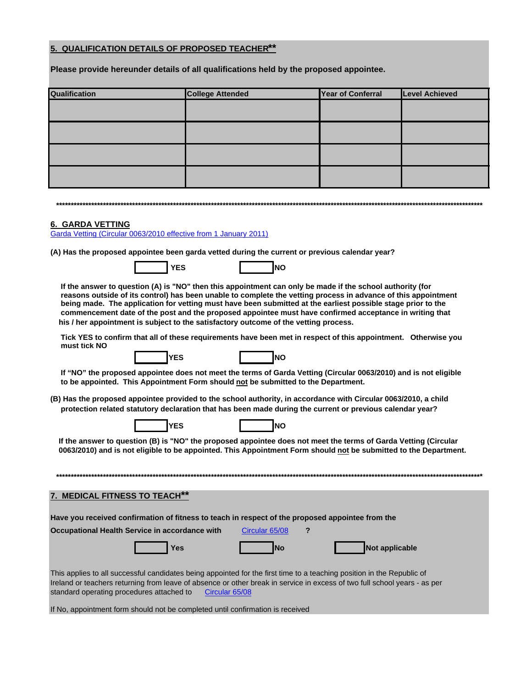# **5. QUALIFICATION DETAILS OF PROPOSED TEACHER\*\***

**Please provide hereunder details of all qualifications held by the proposed appointee.**

| Qualification | <b>College Attended</b> | Year of Conferral | Level Achieved |
|---------------|-------------------------|-------------------|----------------|
|               |                         |                   |                |
|               |                         |                   |                |
|               |                         |                   |                |
|               |                         |                   |                |

#### **6. GARDA VETTING**

Garda Vetting (Circular 0063/2010 effective from 1 January 2011)

**(A) Has the proposed appointee been garda vetted during the current or previous calendar year?**

 **YES NO**

|--|

 **If the answer to question (A) is "NO" then this appointment can only be made if the school authority (for reasons outside of its control) has been unable to complete the vetting process in advance of this appointment being made. The application for vetting must have been submitted at the earliest possible stage prior to the commencement date of the post and the proposed appointee must have confirmed acceptance in writing that his / her appointment is subject to the satisfactory outcome of the vetting process.**

 **Tick YES to confirm that all of these requirements have been met in respect of this appointment. Otherwise you must tick NO**





 **If "NO" the proposed appointee does not meet the terms of Garda Vetting (Circular 0063/2010) and is not eligible to be appointed. This Appointment Form should not be submitted to the Department.**

**(B) Has the proposed appointee provided to the school authority, in accordance with Circular 0063/2010, a child protection related statutory declaration that has been made during the current or previous calendar year?**

| <b>IYES</b> | INO |
|-------------|-----|
|             |     |

 **If the answer to question (B) is "NO" the proposed appointee does not meet the terms of Garda Vetting (Circular 0063/2010) and is not eligible to be appointed. This Appointment Form should not be submitted to the Department.**

| 7. MEDICAL FITNESS TO TEACH**                                                                                                                                                                                                                                                                                      |                |                |
|--------------------------------------------------------------------------------------------------------------------------------------------------------------------------------------------------------------------------------------------------------------------------------------------------------------------|----------------|----------------|
| Have you received confirmation of fitness to teach in respect of the proposed appointee from the                                                                                                                                                                                                                   |                |                |
| Occupational Health Service in accordance with                                                                                                                                                                                                                                                                     | Circular 65/08 |                |
| Yes                                                                                                                                                                                                                                                                                                                | <b>INo</b>     | Not applicable |
| This applies to all successful candidates being appointed for the first time to a teaching position in the Republic of<br>Ireland or teachers returning from leave of absence or other break in service in excess of two full school years - as per<br>standard operating procedures attached to<br>Circular 65/08 |                |                |

If No, appointment form should not be completed until confirmation is received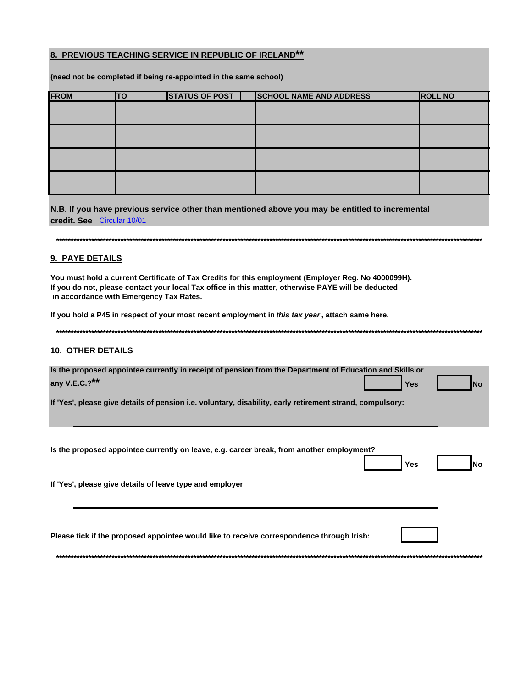## 8. PREVIOUS TEACHING SERVICE IN REPUBLIC OF IRELAND\*\*

(need not be completed if being re-appointed in the same school)

| <b>FROM</b> | <b>ITO</b> | <b>STATUS OF POST</b> | <b>SCHOOL NAME AND ADDRESS</b> | <b>ROLL NO</b> |
|-------------|------------|-----------------------|--------------------------------|----------------|
|             |            |                       |                                |                |
|             |            |                       |                                |                |
|             |            |                       |                                |                |
|             |            |                       |                                |                |

N.B. If you have previous service other than mentioned above you may be entitled to incremental credit. See Circular 10/01

# 9. PAYE DETAILS

You must hold a current Certificate of Tax Credits for this employment (Employer Reg. No 4000099H). If you do not, please contact your local Tax office in this matter, otherwise PAYE will be deducted in accordance with Emergency Tax Rates.

If you hold a P45 in respect of your most recent employment in this tax year, attach same here.

#### 

#### 10. OTHER DETAILS

| Is the proposed appointee currently in receipt of pension from the Department of Education and Skills or<br>any V.E.C.?** |  | <b>Example 19 Yes No. 2016</b> No. |  |
|---------------------------------------------------------------------------------------------------------------------------|--|------------------------------------|--|
| If 'Yes', please give details of pension i.e. voluntary, disability, early retirement strand, compulsory:                 |  |                                    |  |

| Is the proposed appointee currently on leave, e.g. career break, from another employment? | Yes | <b>No</b> |
|-------------------------------------------------------------------------------------------|-----|-----------|
| If 'Yes', please give details of leave type and employer                                  |     |           |
|                                                                                           |     |           |
| Please tick if the proposed appointee would like to receive correspondence through Irish: |     |           |
|                                                                                           |     |           |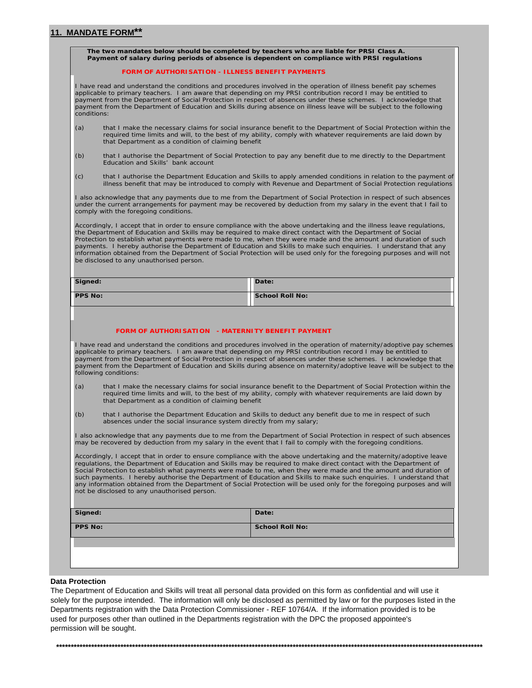# 11. MANDATE FORM\*\*

| The two mandates below should be completed by teachers who are liable for PRSI Class A. | Payment of salary during periods of absence is dependent on compliance with PRSI regulations |                                                                                                                                                                                                                                                                                                                                                                                                                                                                                                                                                                                                                |  |
|-----------------------------------------------------------------------------------------|----------------------------------------------------------------------------------------------|----------------------------------------------------------------------------------------------------------------------------------------------------------------------------------------------------------------------------------------------------------------------------------------------------------------------------------------------------------------------------------------------------------------------------------------------------------------------------------------------------------------------------------------------------------------------------------------------------------------|--|
|                                                                                         | <b>FORM OF AUTHORISATION - ILLNESS BENEFIT PAYMENTS</b>                                      |                                                                                                                                                                                                                                                                                                                                                                                                                                                                                                                                                                                                                |  |
| conditions:                                                                             |                                                                                              | I have read and understand the conditions and procedures involved in the operation of illness benefit pay schemes<br>applicable to primary teachers. I am aware that depending on my PRSI contribution record I may be entitled to<br>payment from the Department of Social Protection in respect of absences under these schemes. I acknowledge that<br>payment from the Department of Education and Skills during absence on illness leave will be subject to the following                                                                                                                                  |  |
| (a)                                                                                     | that Department as a condition of claiming benefit                                           | that I make the necessary claims for social insurance benefit to the Department of Social Protection within the<br>required time limits and will, to the best of my ability, comply with whatever requirements are laid down by                                                                                                                                                                                                                                                                                                                                                                                |  |
| (b)                                                                                     | Education and Skills' bank account                                                           | that I authorise the Department of Social Protection to pay any benefit due to me directly to the Department                                                                                                                                                                                                                                                                                                                                                                                                                                                                                                   |  |
| (c)                                                                                     |                                                                                              | that I authorise the Department Education and Skills to apply amended conditions in relation to the payment of<br>illness benefit that may be introduced to comply with Revenue and Department of Social Protection regulations                                                                                                                                                                                                                                                                                                                                                                                |  |
|                                                                                         | comply with the foregoing conditions.                                                        | I also acknowledge that any payments due to me from the Department of Social Protection in respect of such absences<br>under the current arrangements for payment may be recovered by deduction from my salary in the event that I fail to                                                                                                                                                                                                                                                                                                                                                                     |  |
|                                                                                         | be disclosed to any unauthorised person.                                                     | Accordingly, I accept that in order to ensure compliance with the above undertaking and the illness leave regulations,<br>the Department of Education and Skills may be required to make direct contact with the Department of Social<br>Protection to establish what payments were made to me, when they were made and the amount and duration of such<br>payments. I hereby authorise the Department of Education and Skills to make such enquiries. I understand that any<br>information obtained from the Department of Social Protection will be used only for the foregoing purposes and will not        |  |
|                                                                                         |                                                                                              |                                                                                                                                                                                                                                                                                                                                                                                                                                                                                                                                                                                                                |  |
| Signed:                                                                                 |                                                                                              | Date:                                                                                                                                                                                                                                                                                                                                                                                                                                                                                                                                                                                                          |  |
| <b>PPS No:</b>                                                                          | FORM OF AUTHORISATION - MATERNITY BENEFIT PAYMENT                                            | <b>School Roll No:</b>                                                                                                                                                                                                                                                                                                                                                                                                                                                                                                                                                                                         |  |
|                                                                                         | following conditions:                                                                        | I have read and understand the conditions and procedures involved in the operation of maternity/adoptive pay schemes<br>applicable to primary teachers. I am aware that depending on my PRSI contribution record I may be entitled to<br>payment from the Department of Social Protection in respect of absences under these schemes. I acknowledge that<br>payment from the Department of Education and Skills during absence on maternity/adoptive leave will be subject to the                                                                                                                              |  |
| (a)                                                                                     | that Department as a condition of claiming benefit                                           | that I make the necessary claims for social insurance benefit to the Department of Social Protection within the<br>required time limits and will, to the best of my ability, comply with whatever requirements are laid down by                                                                                                                                                                                                                                                                                                                                                                                |  |
| (b)                                                                                     | absences under the social insurance system directly from my salary;                          | that I authorise the Department Education and Skills to deduct any benefit due to me in respect of such                                                                                                                                                                                                                                                                                                                                                                                                                                                                                                        |  |
|                                                                                         |                                                                                              | I also acknowledge that any payments due to me from the Department of Social Protection in respect of such absences<br>may be recovered by deduction from my salary in the event that I fail to comply with the foregoing conditions.                                                                                                                                                                                                                                                                                                                                                                          |  |
|                                                                                         | not be disclosed to any unauthorised person.                                                 | Accordingly, I accept that in order to ensure compliance with the above undertaking and the maternity/adoptive leave<br>regulations, the Department of Education and Skills may be required to make direct contact with the Department of<br>Social Protection to establish what payments were made to me, when they were made and the amount and duration of<br>such payments. I hereby authorise the Department of Education and Skills to make such enguiries. I understand that<br>any information obtained from the Department of Social Protection will be used only for the foregoing purposes and will |  |
| Signed:                                                                                 |                                                                                              | Date:                                                                                                                                                                                                                                                                                                                                                                                                                                                                                                                                                                                                          |  |
| <b>PPS No:</b>                                                                          |                                                                                              | <b>School Roll No:</b>                                                                                                                                                                                                                                                                                                                                                                                                                                                                                                                                                                                         |  |

#### **Data Protection**

The Department of Education and Skills will treat all personal data provided on this form as confidential and will use it solely for the purpose intended. The information will only be disclosed as permitted by law or for the purposes listed in the Departments registration with the Data Protection Commissioner - REF 10764/A. If the information provided is to be used for purposes other than outlined in the Departments registration with the DPC the proposed appointee's permission will be sought.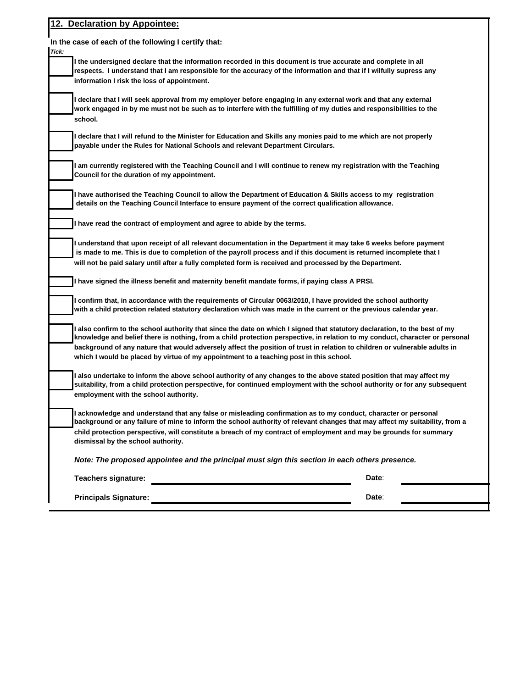| 12. Declaration by Appointee:                                                                                                                                                                                                                                                                                                                                                                                                                                                      |       |
|------------------------------------------------------------------------------------------------------------------------------------------------------------------------------------------------------------------------------------------------------------------------------------------------------------------------------------------------------------------------------------------------------------------------------------------------------------------------------------|-------|
| In the case of each of the following I certify that:<br>Tick:                                                                                                                                                                                                                                                                                                                                                                                                                      |       |
| I the undersigned declare that the information recorded in this document is true accurate and complete in all<br>respects. I understand that I am responsible for the accuracy of the information and that if I wilfully supress any<br>information I risk the loss of appointment.                                                                                                                                                                                                |       |
| l declare that I will seek approval from my employer before engaging in any external work and that any external<br>work engaged in by me must not be such as to interfere with the fulfilling of my duties and responsibilities to the<br>school.                                                                                                                                                                                                                                  |       |
| l declare that I will refund to the Minister for Education and Skills any monies paid to me which are not properly<br>payable under the Rules for National Schools and relevant Department Circulars.                                                                                                                                                                                                                                                                              |       |
| I am currently registered with the Teaching Council and I will continue to renew my registration with the Teaching<br>Council for the duration of my appointment.                                                                                                                                                                                                                                                                                                                  |       |
| I have authorised the Teaching Council to allow the Department of Education & Skills access to my registration<br>details on the Teaching Council Interface to ensure payment of the correct qualification allowance.                                                                                                                                                                                                                                                              |       |
| I have read the contract of employment and agree to abide by the terms.                                                                                                                                                                                                                                                                                                                                                                                                            |       |
| I understand that upon receipt of all relevant documentation in the Department it may take 6 weeks before payment<br>is made to me. This is due to completion of the payroll process and if this document is returned incomplete that I<br>will not be paid salary until after a fully completed form is received and processed by the Department.                                                                                                                                 |       |
| I have signed the illness benefit and maternity benefit mandate forms, if paying class A PRSI.                                                                                                                                                                                                                                                                                                                                                                                     |       |
| l confirm that, in accordance with the requirements of Circular 0063/2010, I have provided the school authority<br>with a child protection related statutory declaration which was made in the current or the previous calendar year.                                                                                                                                                                                                                                              |       |
| l also confirm to the school authority that since the date on which I signed that statutory declaration, to the best of my<br>knowledge and belief there is nothing, from a child protection perspective, in relation to my conduct, character or personal<br>background of any nature that would adversely affect the position of trust in relation to children or vulnerable adults in<br>which I would be placed by virtue of my appointment to a teaching post in this school. |       |
| l also undertake to inform the above school authority of any changes to the above stated position that may affect my<br>suitability, from a child protection perspective, for continued employment with the school authority or for any subsequent<br>employment with the school authority.                                                                                                                                                                                        |       |
| I acknowledge and understand that any false or misleading confirmation as to my conduct, character or personal<br>background or any failure of mine to inform the school authority of relevant changes that may affect my suitability, from a                                                                                                                                                                                                                                      |       |
| child protection perspective, will constitute a breach of my contract of employment and may be grounds for summary<br>dismissal by the school authority.                                                                                                                                                                                                                                                                                                                           |       |
| Note: The proposed appointee and the principal must sign this section in each others presence.                                                                                                                                                                                                                                                                                                                                                                                     |       |
| <b>Teachers signature:</b>                                                                                                                                                                                                                                                                                                                                                                                                                                                         | Date: |
| <b>Principals Signature:</b>                                                                                                                                                                                                                                                                                                                                                                                                                                                       | Date: |